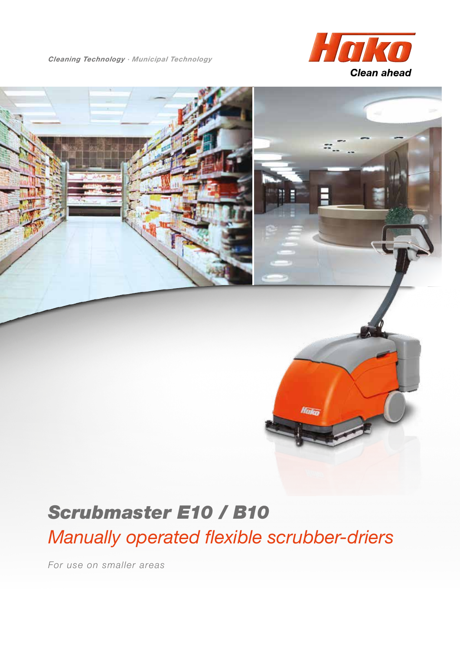*Cleaning Technology · Municipal Technology*





# T.

# *Scrubmaster E10 / B10*

*Manually operated flexible scrubber-driers*

*For use on smaller areas*